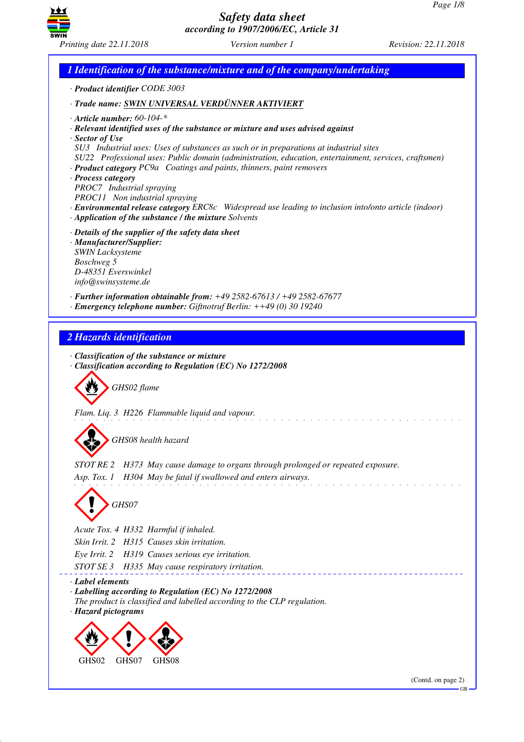GB



*Safety data sheet according to 1907/2006/EC, Article 31*

*1 Identification of the substance/mixture and of the company/undertaking · Product identifier CODE 3003 · Trade name: SWIN UNIVERSAL VERDÜNNER AKTIVIERT · Article number: 60-104-\* · Relevant identified uses of the substance or mixture and uses advised against · Sector of Use SU3 Industrial uses: Uses of substances as such or in preparations at industrial sites SU22 Professional uses: Public domain (administration, education, entertainment, services, craftsmen) · Product category PC9a Coatings and paints, thinners, paint removers · Process category PROC7 Industrial spraying PROC11 Non industrial spraying · Environmental release category ERC8c Widespread use leading to inclusion into/onto article (indoor) · Application of the substance / the mixture Solvents · Details of the supplier of the safety data sheet · Manufacturer/Supplier: SWIN Lacksysteme Boschweg 5 D-48351 Everswinkel info@swinsysteme.de · Further information obtainable from: +49 2582-67613 / +49 2582-67677 · Emergency telephone number: Giftnotruf Berlin: ++49 (0) 30 19240 2 Hazards identification · Classification of the substance or mixture · Classification according to Regulation (EC) No 1272/2008* d~*GHS02 flame Flam. Liq. 3 H226 Flammable liquid and vapour.* d~*GHS08 health hazard STOT RE 2 H373 May cause damage to organs through prolonged or repeated exposure. Asp. Tox. 1 H304 May be fatal if swallowed and enters airways.* d~*GHS07 Acute Tox. 4 H332 Harmful if inhaled. Skin Irrit. 2 H315 Causes skin irritation. Eye Irrit. 2 H319 Causes serious eye irritation. STOT SE 3 H335 May cause respiratory irritation. · Label elements · Labelling according to Regulation (EC) No 1272/2008 The product is classified and labelled according to the CLP regulation. · Hazard pictograms* < GHS<sub>02</sub>  $\langle \cdot \rangle$ GHS07  $\Leftrightarrow$ GH<sub>S08</sub> (Contd. on page 2)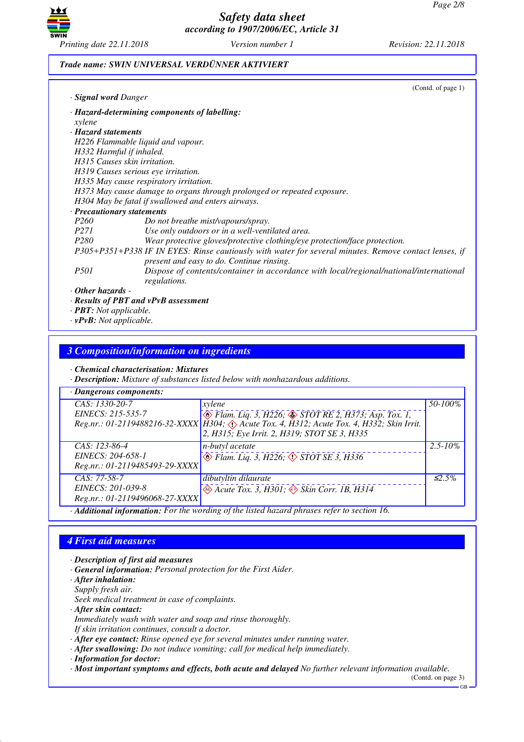

## *Trade name: SWIN UNIVERSAL VERDÜNNER AKTIVIERT*

| · Hazard-determining components of labelling:<br>xylene<br>· Hazard statements<br>H226 Flammable liquid and vapour.<br>H332 Harmful if inhaled.<br>H315 Causes skin irritation.<br>H319 Causes serious eye irritation.<br>H335 May cause respiratory irritation.<br>H373 May cause damage to organs through prolonged or repeated exposure.<br>H304 May be fatal if swallowed and enters airways.<br>· Precautionary statements<br>P <sub>260</sub><br>Do not breathe mist/vapours/spray.<br>Use only outdoors or in a well-ventilated area.<br><i>P271</i><br>Wear protective gloves/protective clothing/eye protection/face protection.<br>P280<br>P305+P351+P338 IF IN EYES: Rinse cautiously with water for several minutes. Remove contact lenses, if<br>present and easy to do. Continue rinsing.<br><i>P501</i><br>Dispose of contents/container in accordance with local/regional/national/international<br>regulations.<br>$\cdot$ Other hazards - | · <b>Signal word Danger</b> | (Contd. of page 1) |
|-------------------------------------------------------------------------------------------------------------------------------------------------------------------------------------------------------------------------------------------------------------------------------------------------------------------------------------------------------------------------------------------------------------------------------------------------------------------------------------------------------------------------------------------------------------------------------------------------------------------------------------------------------------------------------------------------------------------------------------------------------------------------------------------------------------------------------------------------------------------------------------------------------------------------------------------------------------|-----------------------------|--------------------|
|                                                                                                                                                                                                                                                                                                                                                                                                                                                                                                                                                                                                                                                                                                                                                                                                                                                                                                                                                             |                             |                    |
|                                                                                                                                                                                                                                                                                                                                                                                                                                                                                                                                                                                                                                                                                                                                                                                                                                                                                                                                                             |                             |                    |
|                                                                                                                                                                                                                                                                                                                                                                                                                                                                                                                                                                                                                                                                                                                                                                                                                                                                                                                                                             |                             |                    |
|                                                                                                                                                                                                                                                                                                                                                                                                                                                                                                                                                                                                                                                                                                                                                                                                                                                                                                                                                             |                             |                    |
|                                                                                                                                                                                                                                                                                                                                                                                                                                                                                                                                                                                                                                                                                                                                                                                                                                                                                                                                                             |                             |                    |
|                                                                                                                                                                                                                                                                                                                                                                                                                                                                                                                                                                                                                                                                                                                                                                                                                                                                                                                                                             |                             |                    |
|                                                                                                                                                                                                                                                                                                                                                                                                                                                                                                                                                                                                                                                                                                                                                                                                                                                                                                                                                             |                             |                    |
|                                                                                                                                                                                                                                                                                                                                                                                                                                                                                                                                                                                                                                                                                                                                                                                                                                                                                                                                                             |                             |                    |
|                                                                                                                                                                                                                                                                                                                                                                                                                                                                                                                                                                                                                                                                                                                                                                                                                                                                                                                                                             |                             |                    |
|                                                                                                                                                                                                                                                                                                                                                                                                                                                                                                                                                                                                                                                                                                                                                                                                                                                                                                                                                             |                             |                    |
|                                                                                                                                                                                                                                                                                                                                                                                                                                                                                                                                                                                                                                                                                                                                                                                                                                                                                                                                                             |                             |                    |
|                                                                                                                                                                                                                                                                                                                                                                                                                                                                                                                                                                                                                                                                                                                                                                                                                                                                                                                                                             |                             |                    |
|                                                                                                                                                                                                                                                                                                                                                                                                                                                                                                                                                                                                                                                                                                                                                                                                                                                                                                                                                             |                             |                    |
|                                                                                                                                                                                                                                                                                                                                                                                                                                                                                                                                                                                                                                                                                                                                                                                                                                                                                                                                                             |                             |                    |
|                                                                                                                                                                                                                                                                                                                                                                                                                                                                                                                                                                                                                                                                                                                                                                                                                                                                                                                                                             |                             |                    |
|                                                                                                                                                                                                                                                                                                                                                                                                                                                                                                                                                                                                                                                                                                                                                                                                                                                                                                                                                             |                             |                    |
|                                                                                                                                                                                                                                                                                                                                                                                                                                                                                                                                                                                                                                                                                                                                                                                                                                                                                                                                                             |                             |                    |
|                                                                                                                                                                                                                                                                                                                                                                                                                                                                                                                                                                                                                                                                                                                                                                                                                                                                                                                                                             |                             |                    |
|                                                                                                                                                                                                                                                                                                                                                                                                                                                                                                                                                                                                                                                                                                                                                                                                                                                                                                                                                             |                             |                    |

- *· PBT: Not applicable.*
- *· vPvB: Not applicable.*

### *3 Composition/information on ingredients*

*· Chemical characterisation: Mixtures*

*· Description: Mixture of substances listed below with nonhazardous additions.*

| $\cdot$ Dangerous components:                       |                                                                                                                                                       |              |
|-----------------------------------------------------|-------------------------------------------------------------------------------------------------------------------------------------------------------|--------------|
| CAS: 1330-20-7<br>EINECS: 215-535-7                 | xylene<br>The Flam. Liq. 3, H226; STOT RE 2, H373; Asp. Tox. 1,                                                                                       | 50-100%      |
|                                                     | Reg.nr.: 01-2119488216-32-XXXX   H304; $\Diamond$ Acute Tox. 4, H312; Acute Tox. 4, H332; Skin Irrit.<br>2, H315; Eye Irrit. 2, H319; STOT SE 3, H335 |              |
| CAS: 123-86-4                                       | n-butyl acetate                                                                                                                                       | $2.5 - 10\%$ |
| EINECS: 204-658-1<br>Reg.nr.: 01-2119485493-29-XXXX | $\circledast$ Flam. Liq. 3, H226, $\circledast$ STOT SE 3, H336                                                                                       |              |
| $CAS: 77-58-7$                                      | dibutyltin dilaurate                                                                                                                                  | $\leq 2.5\%$ |
| EINECS: 201-039-8                                   | $\leftrightarrow$ Acute Tox. 3, H301; $\Leftrightarrow$ Skin Corr. 1B, H314                                                                           |              |
| Reg.nr.: 01-2119496068-27-XXXX                      |                                                                                                                                                       |              |
|                                                     | $\cdot$ Additional information: For the wording of the listed hazard phrases refer to section 16.                                                     |              |

# *4 First aid measures*

- *· Description of first aid measures*
- *· General information: Personal protection for the First Aider.*
- *· After inhalation:*
- *Supply fresh air.*

*Seek medical treatment in case of complaints.*

*· After skin contact:*

*Immediately wash with water and soap and rinse thoroughly. If skin irritation continues, consult a doctor.*

- *· After eye contact: Rinse opened eye for several minutes under running water.*
- *· After swallowing: Do not induce vomiting; call for medical help immediately.*
- *· Information for doctor:*

*· Most important symptoms and effects, both acute and delayed No further relevant information available.*

(Contd. on page 3) GB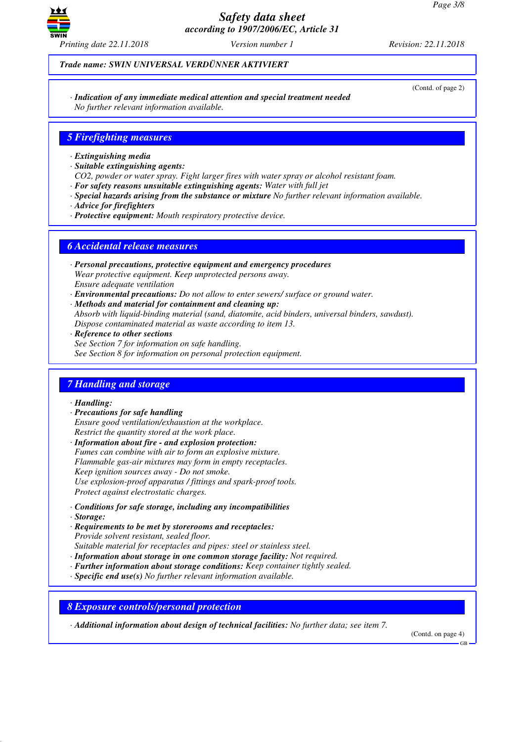

*Trade name: SWIN UNIVERSAL VERDÜNNER AKTIVIERT*

(Contd. of page 2)

*· Indication of any immediate medical attention and special treatment needed No further relevant information available.*

# *5 Firefighting measures*

- *· Extinguishing media*
- *· Suitable extinguishing agents:*
- *CO2, powder or water spray. Fight larger fires with water spray or alcohol resistant foam.*
- *· For safety reasons unsuitable extinguishing agents: Water with full jet*
- *· Special hazards arising from the substance or mixture No further relevant information available.*
- *· Advice for firefighters*
- *· Protective equipment: Mouth respiratory protective device.*

# *6 Accidental release measures*

- *· Personal precautions, protective equipment and emergency procedures Wear protective equipment. Keep unprotected persons away. Ensure adequate ventilation*
- *· Environmental precautions: Do not allow to enter sewers/ surface or ground water.*
- *· Methods and material for containment and cleaning up: Absorb with liquid-binding material (sand, diatomite, acid binders, universal binders, sawdust). Dispose contaminated material as waste according to item 13.*
- *· Reference to other sections See Section 7 for information on safe handling. See Section 8 for information on personal protection equipment.*

# *7 Handling and storage*

*· Handling:*

- *· Precautions for safe handling Ensure good ventilation/exhaustion at the workplace. Restrict the quantity stored at the work place.*
- *· Information about fire and explosion protection: Fumes can combine with air to form an explosive mixture. Flammable gas-air mixtures may form in empty receptacles. Keep ignition sources away - Do not smoke. Use explosion-proof apparatus / fittings and spark-proof tools. Protect against electrostatic charges.*
- *· Conditions for safe storage, including any incompatibilities*
- *· Storage:*
- *· Requirements to be met by storerooms and receptacles: Provide solvent resistant, sealed floor.*
- *Suitable material for receptacles and pipes: steel or stainless steel.*
- *· Information about storage in one common storage facility: Not required.*
- *· Further information about storage conditions: Keep container tightly sealed.*
- *· Specific end use(s) No further relevant information available.*

*8 Exposure controls/personal protection*

*· Additional information about design of technical facilities: No further data; see item 7.*

(Contd. on page 4)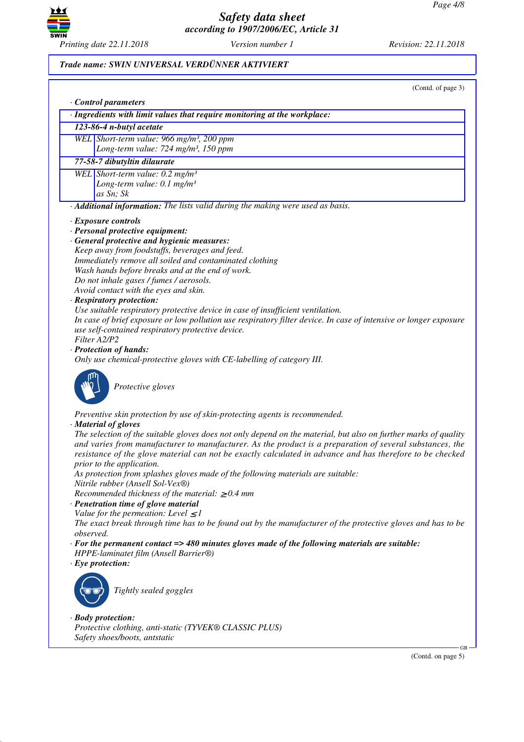

# *Trade name: SWIN UNIVERSAL VERDÜNNER AKTIVIERT*

|           | (Contd. of page 3)                                                                                                                                                                                                                                                                                                                                                    |
|-----------|-----------------------------------------------------------------------------------------------------------------------------------------------------------------------------------------------------------------------------------------------------------------------------------------------------------------------------------------------------------------------|
|           | Control parameters                                                                                                                                                                                                                                                                                                                                                    |
|           | · Ingredients with limit values that require monitoring at the workplace:                                                                                                                                                                                                                                                                                             |
|           | 123-86-4 n-butyl acetate                                                                                                                                                                                                                                                                                                                                              |
|           | WEL Short-term value: 966 mg/m <sup>3</sup> , 200 ppm                                                                                                                                                                                                                                                                                                                 |
|           | Long-term value: 724 mg/m <sup>3</sup> , 150 ppm                                                                                                                                                                                                                                                                                                                      |
|           | 77-58-7 dibutyltin dilaurate                                                                                                                                                                                                                                                                                                                                          |
|           | WEL Short-term value: $0.2 \text{ mg/m}^3$                                                                                                                                                                                                                                                                                                                            |
|           | Long-term value: $0.1$ mg/m <sup>3</sup>                                                                                                                                                                                                                                                                                                                              |
|           | as Sn; Sk                                                                                                                                                                                                                                                                                                                                                             |
|           | · Additional information: The lists valid during the making were used as basis.                                                                                                                                                                                                                                                                                       |
|           | · Exposure controls                                                                                                                                                                                                                                                                                                                                                   |
|           | · Personal protective equipment:                                                                                                                                                                                                                                                                                                                                      |
|           | · General protective and hygienic measures:                                                                                                                                                                                                                                                                                                                           |
|           | Keep away from foodstuffs, beverages and feed.                                                                                                                                                                                                                                                                                                                        |
|           | Immediately remove all soiled and contaminated clothing                                                                                                                                                                                                                                                                                                               |
|           | Wash hands before breaks and at the end of work.                                                                                                                                                                                                                                                                                                                      |
|           | Do not inhale gases / fumes / aerosols.                                                                                                                                                                                                                                                                                                                               |
|           | Avoid contact with the eyes and skin.<br>· Respiratory protection:                                                                                                                                                                                                                                                                                                    |
|           | Use suitable respiratory protective device in case of insufficient ventilation.                                                                                                                                                                                                                                                                                       |
|           | In case of brief exposure or low pollution use respiratory filter device. In case of intensive or longer exposure                                                                                                                                                                                                                                                     |
|           | use self-contained respiratory protective device.                                                                                                                                                                                                                                                                                                                     |
|           | Filter A2/P2                                                                                                                                                                                                                                                                                                                                                          |
|           | · Protection of hands:                                                                                                                                                                                                                                                                                                                                                |
|           | Only use chemical-protective gloves with CE-labelling of category III.                                                                                                                                                                                                                                                                                                |
|           | Protective gloves                                                                                                                                                                                                                                                                                                                                                     |
|           | Preventive skin protection by use of skin-protecting agents is recommended.<br>· Material of gloves                                                                                                                                                                                                                                                                   |
|           | The selection of the suitable gloves does not only depend on the material, but also on further marks of quality<br>and varies from manufacturer to manufacturer. As the product is a preparation of several substances, the<br>resistance of the glove material can not be exactly calculated in advance and has therefore to be checked<br>prior to the application. |
|           | As protection from splashes gloves made of the following materials are suitable:<br>Nitrile rubber (Ansell Sol-Vex®)                                                                                                                                                                                                                                                  |
|           | Recommended thickness of the material: $\geq 0.4$ mm                                                                                                                                                                                                                                                                                                                  |
|           | · Penetration time of glove material                                                                                                                                                                                                                                                                                                                                  |
|           | Value for the permeation: Level $\leq$ 1                                                                                                                                                                                                                                                                                                                              |
|           | The exact break through time has to be found out by the manufacturer of the protective gloves and has to be                                                                                                                                                                                                                                                           |
| observed. |                                                                                                                                                                                                                                                                                                                                                                       |
|           | $\cdot$ For the permanent contact => 480 minutes gloves made of the following materials are suitable:                                                                                                                                                                                                                                                                 |
|           | HPPE-laminatet film (Ansell Barrier®)<br>$\cdot$ Eye protection:                                                                                                                                                                                                                                                                                                      |
|           |                                                                                                                                                                                                                                                                                                                                                                       |
|           | Tightly sealed goggles                                                                                                                                                                                                                                                                                                                                                |
|           | · Body protection:                                                                                                                                                                                                                                                                                                                                                    |
|           | Protective clothing, anti-static (TYVEK® CLASSIC PLUS)                                                                                                                                                                                                                                                                                                                |
|           | Safety shoes/boots, antstatic                                                                                                                                                                                                                                                                                                                                         |

(Contd. on page 5)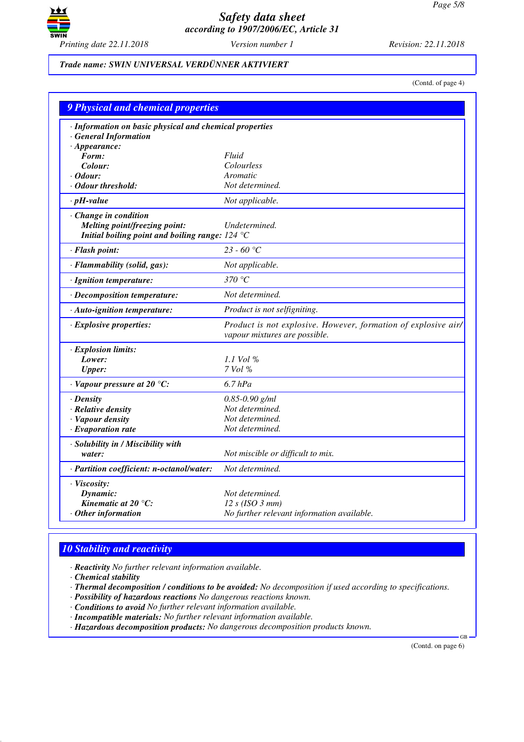

*Printing date 22.11.2018 Version number 1 Revision: 22.11.2018*

# *Trade name: SWIN UNIVERSAL VERDÜNNER AKTIVIERT*

(Contd. of page 4)

| <b>9 Physical and chemical properties</b>                               |                                                                                                 |
|-------------------------------------------------------------------------|-------------------------------------------------------------------------------------------------|
| · Information on basic physical and chemical properties                 |                                                                                                 |
| · General Information                                                   |                                                                                                 |
| $\cdot$ Appearance:                                                     |                                                                                                 |
| Form:                                                                   | Fluid                                                                                           |
| Colour:                                                                 | Colourless                                                                                      |
| $\cdot$ Odour:                                                          | Aromatic                                                                                        |
| • Odour threshold:                                                      | Not determined.                                                                                 |
| $\cdot$ pH-value                                                        | Not applicable.                                                                                 |
| · Change in condition                                                   |                                                                                                 |
| Melting point/freezing point:                                           | Undetermined.                                                                                   |
| Initial boiling point and boiling range: $124 \text{ }^{\circ}\text{C}$ |                                                                                                 |
| · Flash point:                                                          | 23 - 60 °C                                                                                      |
| · Flammability (solid, gas):                                            | Not applicable.                                                                                 |
| $\cdot$ Ignition temperature:                                           | 370 $\degree$ C                                                                                 |
| · Decomposition temperature:                                            | Not determined.                                                                                 |
| · Auto-ignition temperature:                                            | Product is not selfigniting.                                                                    |
| $\cdot$ Explosive properties:                                           | Product is not explosive. However, formation of explosive air/<br>vapour mixtures are possible. |
| · Explosion limits:                                                     |                                                                                                 |
| Lower:                                                                  | 1.1 Vol $\%$                                                                                    |
| <b>Upper:</b>                                                           | 7 Vol %                                                                                         |
| $\cdot$ Vapour pressure at 20 °C:                                       | $6.7$ hPa                                                                                       |
| $\cdot$ Density                                                         | $0.85 - 0.90$ g/ml                                                                              |
| · Relative density                                                      | Not determined.                                                                                 |
| · Vapour density                                                        | Not determined.                                                                                 |
| $\cdot$ Evaporation rate                                                | Not determined.                                                                                 |
| · Solubility in / Miscibility with                                      |                                                                                                 |
| water:                                                                  | Not miscible or difficult to mix.                                                               |
| · Partition coefficient: n-octanol/water:                               | Not determined.                                                                                 |
| · Viscosity:                                                            |                                                                                                 |
| Dynamic:                                                                | Not determined.                                                                                 |
| Kinematic at 20 °C:                                                     | 12 s (ISO 3 mm)                                                                                 |
| $\cdot$ Other information                                               | No further relevant information available.                                                      |

# *10 Stability and reactivity*

*· Reactivity No further relevant information available.*

*· Chemical stability*

*· Thermal decomposition / conditions to be avoided: No decomposition if used according to specifications.*

*· Possibility of hazardous reactions No dangerous reactions known.*

*· Conditions to avoid No further relevant information available.*

*· Incompatible materials: No further relevant information available.*

*· Hazardous decomposition products: No dangerous decomposition products known.*

(Contd. on page 6)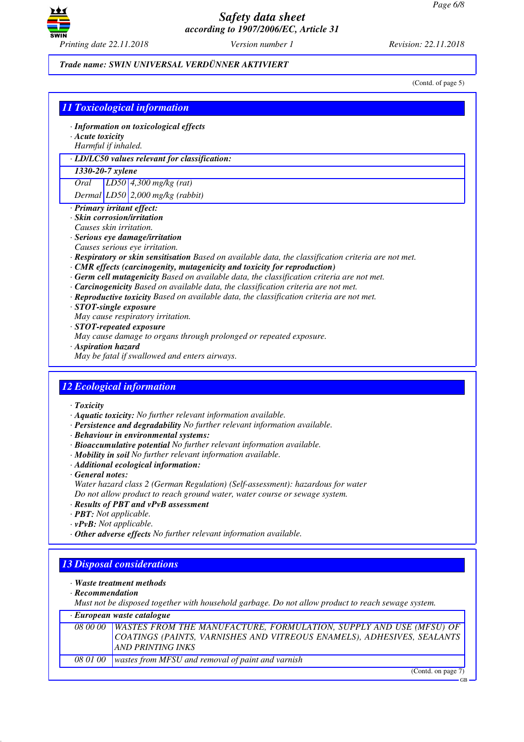

# *Trade name: SWIN UNIVERSAL VERDÜNNER AKTIVIERT*

(Contd. of page 5)

|                                    | 1 Toxicological information                                                                                                                                                                                                                                                                                                                                                                                                                                                                                                                                                                                                                                                                                              |
|------------------------------------|--------------------------------------------------------------------------------------------------------------------------------------------------------------------------------------------------------------------------------------------------------------------------------------------------------------------------------------------------------------------------------------------------------------------------------------------------------------------------------------------------------------------------------------------------------------------------------------------------------------------------------------------------------------------------------------------------------------------------|
|                                    | · Information on toxicological effects                                                                                                                                                                                                                                                                                                                                                                                                                                                                                                                                                                                                                                                                                   |
| · Acute toxicity                   |                                                                                                                                                                                                                                                                                                                                                                                                                                                                                                                                                                                                                                                                                                                          |
| Harmful if inhaled.                |                                                                                                                                                                                                                                                                                                                                                                                                                                                                                                                                                                                                                                                                                                                          |
|                                    | · LD/LC50 values relevant for classification:                                                                                                                                                                                                                                                                                                                                                                                                                                                                                                                                                                                                                                                                            |
| 1330-20-7 xylene                   |                                                                                                                                                                                                                                                                                                                                                                                                                                                                                                                                                                                                                                                                                                                          |
| Oral                               | $LD50$ 4,300 mg/kg (rat)                                                                                                                                                                                                                                                                                                                                                                                                                                                                                                                                                                                                                                                                                                 |
|                                    | Dermal $LD50$ 2,000 mg/kg (rabbit)                                                                                                                                                                                                                                                                                                                                                                                                                                                                                                                                                                                                                                                                                       |
|                                    | · Primary irritant effect:                                                                                                                                                                                                                                                                                                                                                                                                                                                                                                                                                                                                                                                                                               |
|                                    | · Skin corrosion/irritation                                                                                                                                                                                                                                                                                                                                                                                                                                                                                                                                                                                                                                                                                              |
|                                    | Causes skin irritation.<br>· Serious eye damage/irritation                                                                                                                                                                                                                                                                                                                                                                                                                                                                                                                                                                                                                                                               |
|                                    | Causes serious eye irritation.                                                                                                                                                                                                                                                                                                                                                                                                                                                                                                                                                                                                                                                                                           |
|                                    | · Respiratory or skin sensitisation Based on available data, the classification criteria are not met.                                                                                                                                                                                                                                                                                                                                                                                                                                                                                                                                                                                                                    |
|                                    | $\cdot$ CMR effects (carcinogenity, mutagenicity and toxicity for reproduction)                                                                                                                                                                                                                                                                                                                                                                                                                                                                                                                                                                                                                                          |
|                                    | · Germ cell mutagenicity Based on available data, the classification criteria are not met.                                                                                                                                                                                                                                                                                                                                                                                                                                                                                                                                                                                                                               |
|                                    | · Carcinogenicity Based on available data, the classification criteria are not met.                                                                                                                                                                                                                                                                                                                                                                                                                                                                                                                                                                                                                                      |
|                                    | · Reproductive toxicity Based on available data, the classification criteria are not met.                                                                                                                                                                                                                                                                                                                                                                                                                                                                                                                                                                                                                                |
|                                    | · STOT-single exposure<br>May cause respiratory irritation.                                                                                                                                                                                                                                                                                                                                                                                                                                                                                                                                                                                                                                                              |
|                                    | $\cdot$ STOT-repeated exposure                                                                                                                                                                                                                                                                                                                                                                                                                                                                                                                                                                                                                                                                                           |
|                                    | May cause damage to organs through prolonged or repeated exposure.                                                                                                                                                                                                                                                                                                                                                                                                                                                                                                                                                                                                                                                       |
| · Aspiration hazard                |                                                                                                                                                                                                                                                                                                                                                                                                                                                                                                                                                                                                                                                                                                                          |
|                                    | May be fatal if swallowed and enters airways.                                                                                                                                                                                                                                                                                                                                                                                                                                                                                                                                                                                                                                                                            |
| $\cdot$ Toxicity<br>General notes: | · Aquatic toxicity: No further relevant information available.<br>· Persistence and degradability No further relevant information available.<br>· Behaviour in environmental systems:<br>· Bioaccumulative potential No further relevant information available.<br>· Mobility in soil No further relevant information available.<br>· Additional ecological information:<br>Water hazard class 2 (German Regulation) (Self-assessment): hazardous for water<br>Do not allow product to reach ground water, water course or sewage system.<br>· Results of PBT and vPvB assessment<br>$\cdot$ PBT: Not applicable.<br>$\cdot$ vPvB: Not applicable.<br>· Other adverse effects No further relevant information available. |
|                                    |                                                                                                                                                                                                                                                                                                                                                                                                                                                                                                                                                                                                                                                                                                                          |
|                                    | <b>13 Disposal considerations</b>                                                                                                                                                                                                                                                                                                                                                                                                                                                                                                                                                                                                                                                                                        |
|                                    |                                                                                                                                                                                                                                                                                                                                                                                                                                                                                                                                                                                                                                                                                                                          |
|                                    | · Waste treatment methods                                                                                                                                                                                                                                                                                                                                                                                                                                                                                                                                                                                                                                                                                                |
|                                    |                                                                                                                                                                                                                                                                                                                                                                                                                                                                                                                                                                                                                                                                                                                          |
|                                    | Must not be disposed together with household garbage. Do not allow product to reach sewage system.                                                                                                                                                                                                                                                                                                                                                                                                                                                                                                                                                                                                                       |
| $\cdot$ Recommendation             | · European waste catalogue                                                                                                                                                                                                                                                                                                                                                                                                                                                                                                                                                                                                                                                                                               |
| 08 00 00                           | WASTES FROM THE MANUFACTURE, FORMULATION, SUPPLY AND USE (MFSU) OF                                                                                                                                                                                                                                                                                                                                                                                                                                                                                                                                                                                                                                                       |
|                                    | COATINGS (PAINTS, VARNISHES AND VITREOUS ENAMELS), ADHESIVES, SEALANTS                                                                                                                                                                                                                                                                                                                                                                                                                                                                                                                                                                                                                                                   |
| 08 01 00                           | <b>AND PRINTING INKS</b><br>wastes from MFSU and removal of paint and varnish                                                                                                                                                                                                                                                                                                                                                                                                                                                                                                                                                                                                                                            |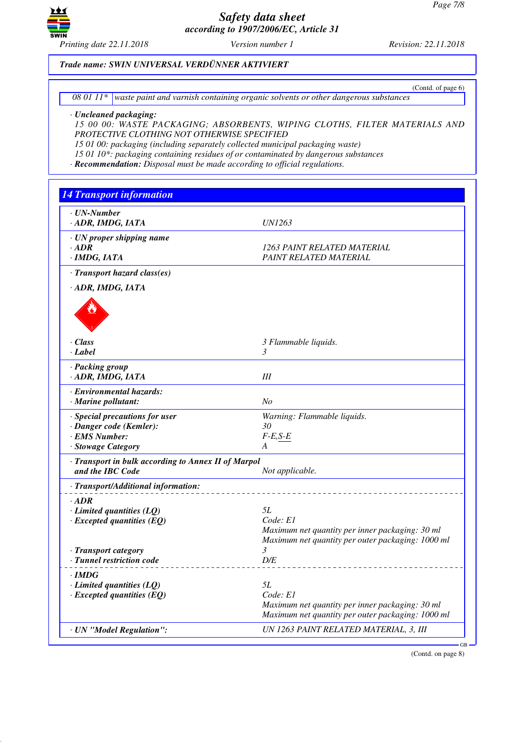

(Contd. of page 6)

### *Trade name: SWIN UNIVERSAL VERDÜNNER AKTIVIERT*

*08 01 11\* waste paint and varnish containing organic solvents or other dangerous substances*

### *· Uncleaned packaging:*

*15 00 00: WASTE PACKAGING; ABSORBENTS, WIPING CLOTHS, FILTER MATERIALS AND PROTECTIVE CLOTHING NOT OTHERWISE SPECIFIED*

*15 01 00: packaging (including separately collected municipal packaging waste)*

*15 01 10\*: packaging containing residues of or contaminated by dangerous substances*

*· Recommendation: Disposal must be made according to official regulations.*

*14 Transport information · UN-Number · ADR, IMDG, IATA UN1263 · UN proper shipping name · ADR 1263 PAINT RELATED MATERIAL · IMDG, IATA PAINT RELATED MATERIAL · Transport hazard class(es) · ADR, IMDG, IATA* de la Carte de la Carte de la Carte de la Carte de la Carte de la Carte de la Carte de la Carte de la Carte de *· Class 3 Flammable liquids. · Label 3 · Packing group · ADR, IMDG, IATA III · Environmental hazards: · Marine pollutant: No · Special precautions for user Warning: Flammable liquids. · Danger code (Kemler): 30 · EMS Number: F-E,S-E · Stowage Category A · Transport in bulk according to Annex II of Marpol Not applicable. · Transport/Additional information: · ADR <i>·* **Limited quantities (LQ)** 5L<br>*·* **Excepted quantities (EO) 6 Code: E1** *<i>· Excepted quantities (EQ) Maximum net quantity per inner packaging: 30 ml Maximum net quantity per outer packaging: 1000 ml <i>· Transport category* **3**<br>*<i>Punnel restriction code D/E*  $\cdot$  *Tunnel restriction code · IMDG · Limited quantities (LQ) 5L · Excepted quantities (EQ) Code: E1 Maximum net quantity per inner packaging: 30 ml Maximum net quantity per outer packaging: 1000 ml · UN "Model Regulation": UN 1263 PAINT RELATED MATERIAL, 3, III*

(Contd. on page 8)